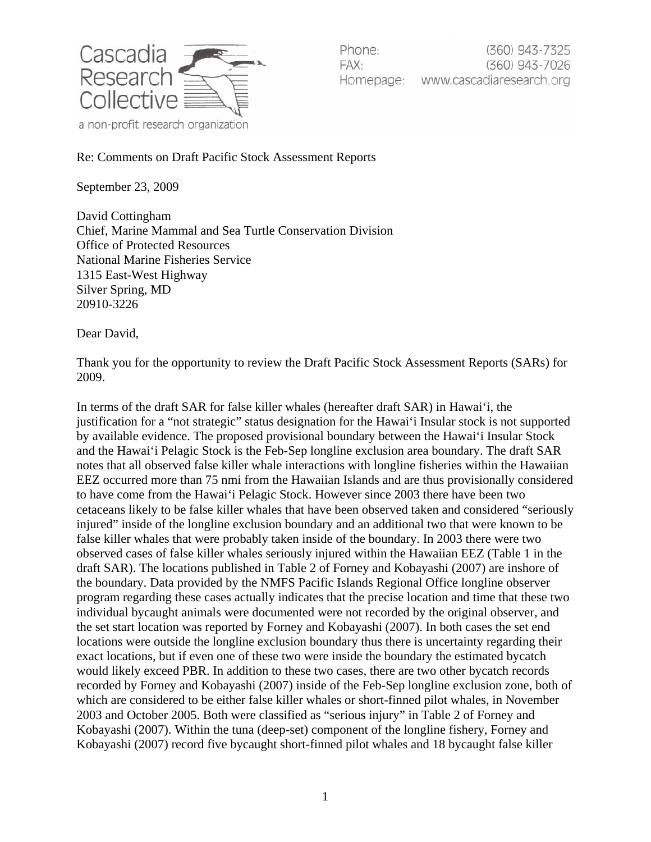

Phone:  $(360)$  943-7325 FAX: (360) 943-7026 Homepage: www.cascadiaresearch.org

Re: Comments on Draft Pacific Stock Assessment Reports

September 23, 2009

David Cottingham Chief, Marine Mammal and Sea Turtle Conservation Division Office of Protected Resources National Marine Fisheries Service 1315 East-West Highway Silver Spring, MD 20910-3226

Dear David,

Thank you for the opportunity to review the Draft Pacific Stock Assessment Reports (SARs) for 2009.

In terms of the draft SAR for false killer whales (hereafter draft SAR) in Hawai'i, the justification for a "not strategic" status designation for the Hawai'i Insular stock is not supported by available evidence. The proposed provisional boundary between the Hawai'i Insular Stock and the Hawai'i Pelagic Stock is the Feb-Sep longline exclusion area boundary. The draft SAR notes that all observed false killer whale interactions with longline fisheries within the Hawaiian EEZ occurred more than 75 nmi from the Hawaiian Islands and are thus provisionally considered to have come from the Hawai'i Pelagic Stock. However since 2003 there have been two cetaceans likely to be false killer whales that have been observed taken and considered "seriously injured" inside of the longline exclusion boundary and an additional two that were known to be false killer whales that were probably taken inside of the boundary. In 2003 there were two observed cases of false killer whales seriously injured within the Hawaiian EEZ (Table 1 in the draft SAR). The locations published in Table 2 of Forney and Kobayashi (2007) are inshore of the boundary. Data provided by the NMFS Pacific Islands Regional Office longline observer program regarding these cases actually indicates that the precise location and time that these two individual bycaught animals were documented were not recorded by the original observer, and the set start location was reported by Forney and Kobayashi (2007). In both cases the set end locations were outside the longline exclusion boundary thus there is uncertainty regarding their exact locations, but if even one of these two were inside the boundary the estimated bycatch would likely exceed PBR. In addition to these two cases, there are two other bycatch records recorded by Forney and Kobayashi (2007) inside of the Feb-Sep longline exclusion zone, both of which are considered to be either false killer whales or short-finned pilot whales, in November 2003 and October 2005. Both were classified as "serious injury" in Table 2 of Forney and Kobayashi (2007). Within the tuna (deep-set) component of the longline fishery, Forney and Kobayashi (2007) record five bycaught short-finned pilot whales and 18 bycaught false killer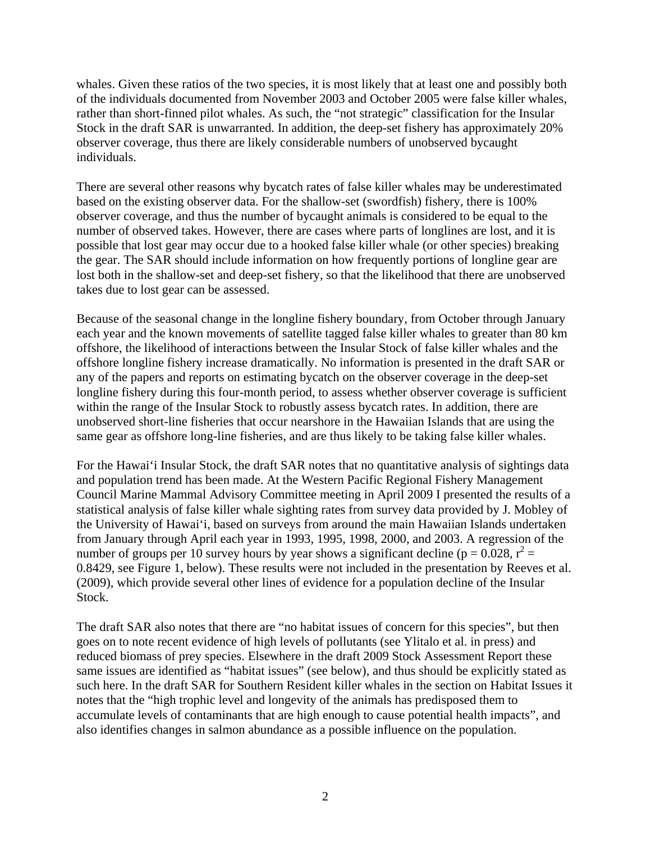whales. Given these ratios of the two species, it is most likely that at least one and possibly both of the individuals documented from November 2003 and October 2005 were false killer whales, rather than short-finned pilot whales. As such, the "not strategic" classification for the Insular Stock in the draft SAR is unwarranted. In addition, the deep-set fishery has approximately 20% observer coverage, thus there are likely considerable numbers of unobserved bycaught individuals.

There are several other reasons why bycatch rates of false killer whales may be underestimated based on the existing observer data. For the shallow-set (swordfish) fishery, there is 100% observer coverage, and thus the number of bycaught animals is considered to be equal to the number of observed takes. However, there are cases where parts of longlines are lost, and it is possible that lost gear may occur due to a hooked false killer whale (or other species) breaking the gear. The SAR should include information on how frequently portions of longline gear are lost both in the shallow-set and deep-set fishery, so that the likelihood that there are unobserved takes due to lost gear can be assessed.

Because of the seasonal change in the longline fishery boundary, from October through January each year and the known movements of satellite tagged false killer whales to greater than 80 km offshore, the likelihood of interactions between the Insular Stock of false killer whales and the offshore longline fishery increase dramatically. No information is presented in the draft SAR or any of the papers and reports on estimating bycatch on the observer coverage in the deep-set longline fishery during this four-month period, to assess whether observer coverage is sufficient within the range of the Insular Stock to robustly assess bycatch rates. In addition, there are unobserved short-line fisheries that occur nearshore in the Hawaiian Islands that are using the same gear as offshore long-line fisheries, and are thus likely to be taking false killer whales.

For the Hawai'i Insular Stock, the draft SAR notes that no quantitative analysis of sightings data and population trend has been made. At the Western Pacific Regional Fishery Management Council Marine Mammal Advisory Committee meeting in April 2009 I presented the results of a statistical analysis of false killer whale sighting rates from survey data provided by J. Mobley of the University of Hawai'i, based on surveys from around the main Hawaiian Islands undertaken from January through April each year in 1993, 1995, 1998, 2000, and 2003. A regression of the number of groups per 10 survey hours by year shows a significant decline ( $p = 0.028$ ,  $r^2 =$ 0.8429, see Figure 1, below). These results were not included in the presentation by Reeves et al. (2009), which provide several other lines of evidence for a population decline of the Insular Stock.

The draft SAR also notes that there are "no habitat issues of concern for this species", but then goes on to note recent evidence of high levels of pollutants (see Ylitalo et al. in press) and reduced biomass of prey species. Elsewhere in the draft 2009 Stock Assessment Report these same issues are identified as "habitat issues" (see below), and thus should be explicitly stated as such here. In the draft SAR for Southern Resident killer whales in the section on Habitat Issues it notes that the "high trophic level and longevity of the animals has predisposed them to accumulate levels of contaminants that are high enough to cause potential health impacts", and also identifies changes in salmon abundance as a possible influence on the population.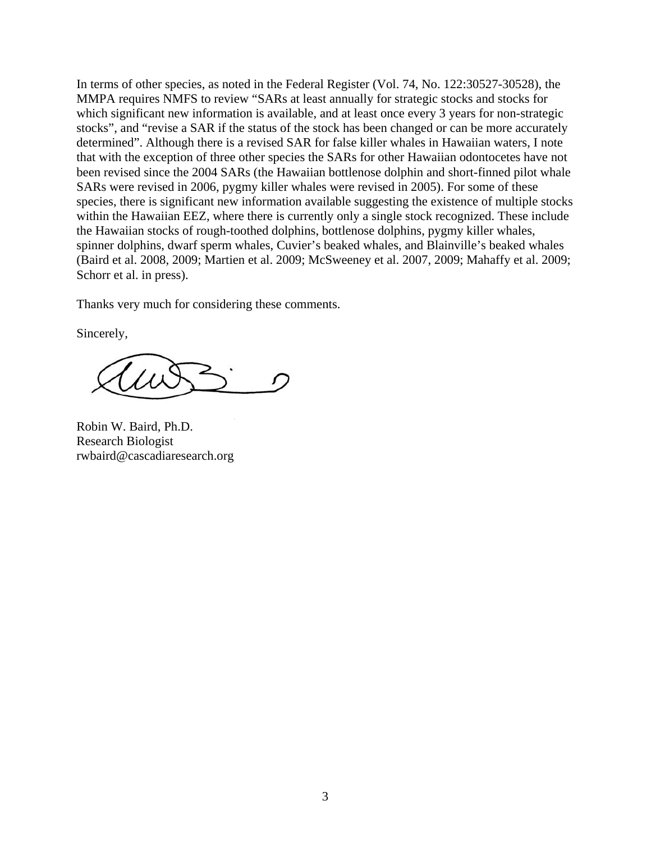In terms of other species, as noted in the Federal Register (Vol. 74, No. 122:30527-30528), the MMPA requires NMFS to review "SARs at least annually for strategic stocks and stocks for which significant new information is available, and at least once every 3 years for non-strategic stocks", and "revise a SAR if the status of the stock has been changed or can be more accurately determined". Although there is a revised SAR for false killer whales in Hawaiian waters, I note that with the exception of three other species the SARs for other Hawaiian odontocetes have not been revised since the 2004 SARs (the Hawaiian bottlenose dolphin and short-finned pilot whale SARs were revised in 2006, pygmy killer whales were revised in 2005). For some of these species, there is significant new information available suggesting the existence of multiple stocks within the Hawaiian EEZ, where there is currently only a single stock recognized. These include the Hawaiian stocks of rough-toothed dolphins, bottlenose dolphins, pygmy killer whales, spinner dolphins, dwarf sperm whales, Cuvier's beaked whales, and Blainville's beaked whales (Baird et al. 2008, 2009; Martien et al. 2009; McSweeney et al. 2007, 2009; Mahaffy et al. 2009; Schorr et al. in press).

Thanks very much for considering these comments.

Sincerely,

Robin W. Baird, Ph.D. Research Biologist rwbaird@cascadiaresearch.org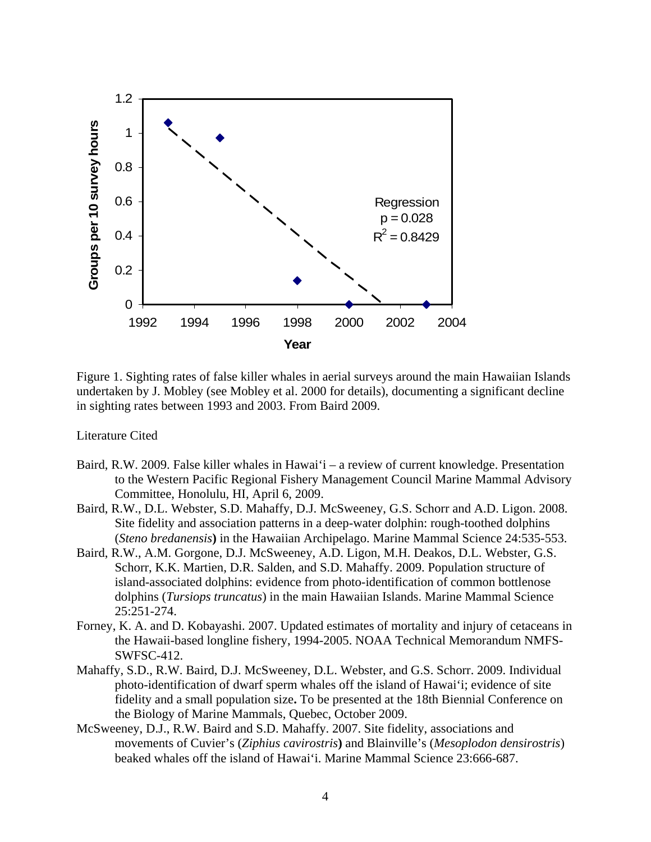

Figure 1. Sighting rates of false killer whales in aerial surveys around the main Hawaiian Islands undertaken by J. Mobley (see Mobley et al. 2000 for details), documenting a significant decline in sighting rates between 1993 and 2003. From Baird 2009.

Literature Cited

- Baird, R.W. 2009. False killer whales in Hawai'i a review of current knowledge. Presentation to the Western Pacific Regional Fishery Management Council Marine Mammal Advisory Committee, Honolulu, HI, April 6, 2009.
- Baird, R.W., D.L. Webster, S.D. Mahaffy, D.J. McSweeney, G.S. Schorr and A.D. Ligon. 2008. Site fidelity and association patterns in a deep-water dolphin: rough-toothed dolphins (*Steno bredanensis***)** in the Hawaiian Archipelago. Marine Mammal Science 24:535-553.
- Baird, R.W., A.M. Gorgone, D.J. McSweeney, A.D. Ligon, M.H. Deakos, D.L. Webster, G.S. Schorr, K.K. Martien, D.R. Salden, and S.D. Mahaffy. 2009. Population structure of island-associated dolphins: evidence from photo-identification of common bottlenose dolphins (*Tursiops truncatus*) in the main Hawaiian Islands. Marine Mammal Science 25:251-274.
- Forney, K. A. and D. Kobayashi. 2007. Updated estimates of mortality and injury of cetaceans in the Hawaii-based longline fishery, 1994-2005. NOAA Technical Memorandum NMFS-SWFSC-412.
- Mahaffy, S.D., R.W. Baird, D.J. McSweeney, D.L. Webster, and G.S. Schorr. 2009. Individual photo-identification of dwarf sperm whales off the island of Hawai'i; evidence of site fidelity and a small population size**.** To be presented at the 18th Biennial Conference on the Biology of Marine Mammals, Quebec, October 2009.
- McSweeney, D.J., R.W. Baird and S.D. Mahaffy. 2007. Site fidelity, associations and movements of Cuvier's (*Ziphius cavirostris***)** and Blainville's (*Mesoplodon densirostris*) beaked whales off the island of Hawai'i. Marine Mammal Science 23:666-687.